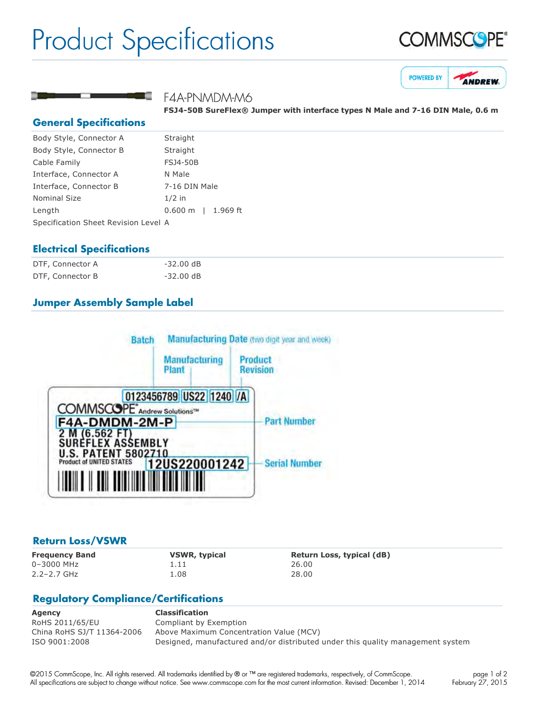# Product Specifications







# F4A-PNMDM-M6

**FSJ450B SureFlex® Jumper with interface types N Male and 716 DIN Male, 0.6 m**

#### **General Specifications**

| Body Style, Connector A              | Straight           |  |
|--------------------------------------|--------------------|--|
| Body Style, Connector B              | Straight           |  |
| Cable Family                         | <b>FSJ4-50B</b>    |  |
| Interface, Connector A               | N Male             |  |
| Interface, Connector B               | 7-16 DIN Male      |  |
| <b>Nominal Size</b>                  | $1/2$ in           |  |
| Length                               | 0.600 m   1.969 ft |  |
| Specification Sheet Revision Level A |                    |  |

#### **Electrical Specifications**

| DTF, Connector A | $-32.00 \text{ dB}$ |
|------------------|---------------------|
| DTF, Connector B | -32.00 dB           |

#### **Jumper Assembly Sample Label**



#### **Return Loss/VSWR**

0–3000 MHz 1.11 26.00 2.2–2.7 GHz 1.08 28.00

**Frequency Band VSWR, typical Return Loss, typical (dB)**

# **Regulatory Compliance/Certifications**

| Agency                     | <b>Classification</b>                                                          |
|----------------------------|--------------------------------------------------------------------------------|
| RoHS 2011/65/EU            | Compliant by Exemption                                                         |
| China RoHS SJ/T 11364-2006 | Above Maximum Concentration Value (MCV)                                        |
| ISO 9001:2008              | Designed, manufactured and/or distributed under this quality management system |